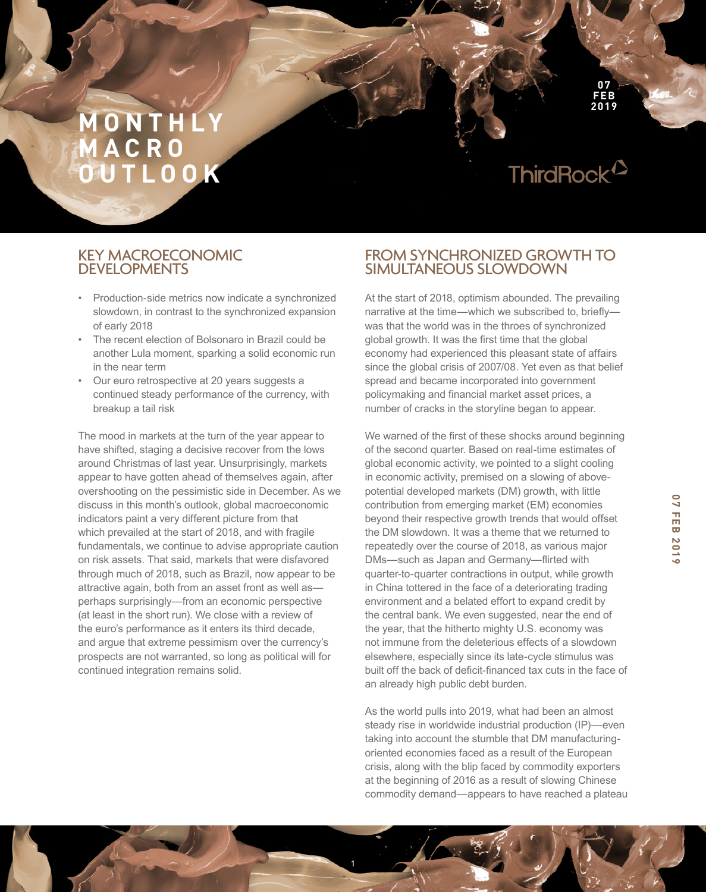# ThirdRock<sup>12</sup>

**07 FEB 2019**

# KEY MACROECONOMIC DEVELOPMENTS

- Production-side metrics now indicate a synchronized slowdown, in contrast to the synchronized expansion of early 2018
- The recent election of Bolsonaro in Brazil could be another Lula moment, sparking a solid economic run in the near term
- Our euro retrospective at 20 years suggests a continued steady performance of the currency, with breakup a tail risk

The mood in markets at the turn of the year appear to have shifted, staging a decisive recover from the lows around Christmas of last year. Unsurprisingly, markets appear to have gotten ahead of themselves again, after overshooting on the pessimistic side in December. As we discuss in this month's outlook, global macroeconomic indicators paint a very different picture from that which prevailed at the start of 2018, and with fragile fundamentals, we continue to advise appropriate caution on risk assets. That said, markets that were disfavored through much of 2018, such as Brazil, now appear to be attractive again, both from an asset front as well as perhaps surprisingly—from an economic perspective (at least in the short run). We close with a review of the euro's performance as it enters its third decade, and argue that extreme pessimism over the currency's prospects are not warranted, so long as political will for continued integration remains solid.

# FROM SYNCHRONIZED GROWTH TO SIMULTANEOUS SLOWDOWN

At the start of 2018, optimism abounded. The prevailing narrative at the time—which we subscribed to, briefy was that the world was in the throes of synchronized global growth. It was the frst time that the global economy had experienced this pleasant state of affairs since the global crisis of 2007/08. Yet even as that belief spread and became incorporated into government policymaking and fnancial market asset prices, a number of cracks in the storyline began to appear.

We warned of the first of these shocks around beginning of the second quarter. Based on real-time estimates of global economic activity, we pointed to a slight cooling in economic activity, premised on a slowing of abovepotential developed markets (DM) growth, with little contribution from emerging market (EM) economies beyond their respective growth trends that would offset the DM slowdown. It was a theme that we returned to repeatedly over the course of 2018, as various major DMs—such as Japan and Germany—firted with quarter-to-quarter contractions in output, while growth in China tottered in the face of a deteriorating trading environment and a belated effort to expand credit by the central bank. We even suggested, near the end of the year, that the hitherto mighty U.S. economy was not immune from the deleterious effects of a slowdown elsewhere, especially since its late-cycle stimulus was built off the back of deficit-financed tax cuts in the face of an already high public debt burden.

As the world pulls into 2019, what had been an almost steady rise in worldwide industrial production (IP)—even taking into account the stumble that DM manufacturingoriented economies faced as a result of the European crisis, along with the blip faced by commodity exporters at the beginning of 2016 as a result of slowing Chinese commodity demand—appears to have reached a plateau

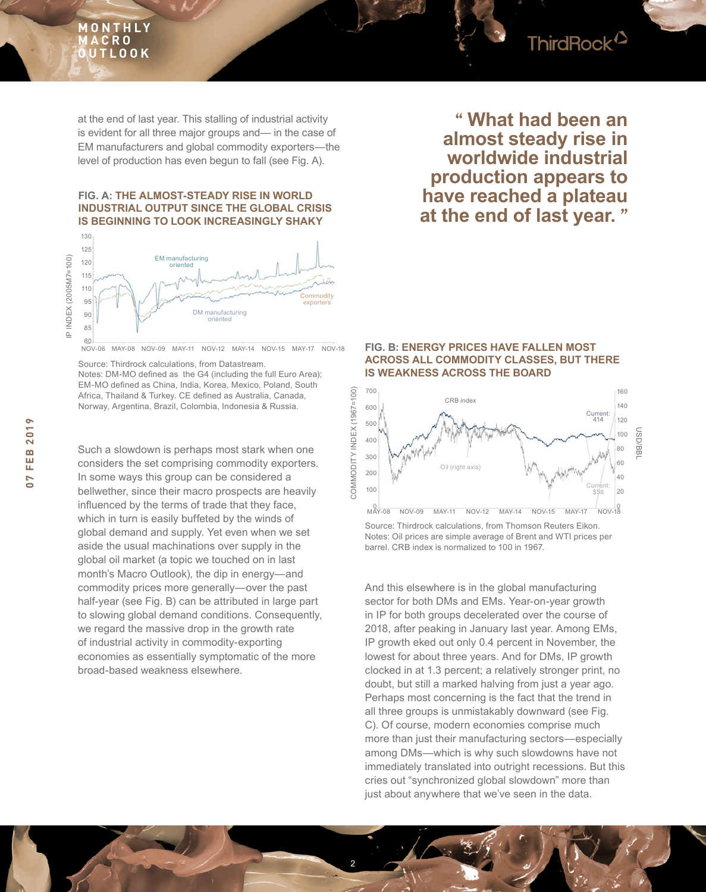

at the end of last year. This stalling of industrial activity is evident for all three major groups and— in the case of EM manufacturers and global commodity exporters—the level of production has even begun to fall (see Fig. A).

#### **FIG. A: THE ALMOST-STEADY RISE IN WORLD INDUSTRIAL OUTPUT SINCE THE GLOBAL CRISIS IS BEGINNING TO LOOK INCREASINGLY SHAKY**



NOV-06 MAY-08 NOV-09 MAY-11 NOV-12 MAY-14 NOV-15 MAY-17 NOV-18

Source: Thirdrock calculations, from Datastream. Notes: DM-MO defned as the G4 (including the full Euro Area); EM-MO defned as China, India, Korea, Mexico, Poland, South Africa, Thailand & Turkey. CE defned as Australia, Canada, Norway, Argentina, Brazil, Colombia, Indonesia & Russia.

Such a slowdown is perhaps most stark when one considers the set comprising commodity exporters. In some ways this group can be considered a bellwether, since their macro prospects are heavily infuenced by the terms of trade that they face, which in turn is easily buffeted by the winds of global demand and supply. Yet even when we set aside the usual machinations over supply in the global oil market (a topic we touched on in last month's Macro Outlook), the dip in energy—and commodity prices more generally—over the past half-year (see Fig. B) can be attributed in large part to slowing global demand conditions. Consequently, we regard the massive drop in the growth rate of industrial activity in commodity-exporting economies as essentially symptomatic of the more broad-based weakness elsewhere.

# **" What had been an almost steady rise in worldwide industrial production appears to have reached a plateau at the end of last year. "**

#### **FIG. B: ENERGY PRICES HAVE FALLEN MOST ACROSS ALL COMMODITY CLASSES, BUT THERE IS WEAKNESS ACROSS THE BOARD**



Source: Thirdrock calculations, from Thomson Reuters Eikon. Notes: Oil prices are simple average of Brent and WTI prices per barrel. CRB index is normalized to 100 in 1967.

And this elsewhere is in the global manufacturing sector for both DMs and EMs. Year-on-year growth in IP for both groups decelerated over the course of 2018, after peaking in January last year. Among EMs, IP growth eked out only 0.4 percent in November, the lowest for about three years. And for DMs, IP growth clocked in at 1.3 percent; a relatively stronger print, no doubt, but still a marked halving from just a year ago. Perhaps most concerning is the fact that the trend in all three groups is unmistakably downward (see Fig. C). Of course, modern economies comprise much more than just their manufacturing sectors—especially among DMs—which is why such slowdowns have not immediately translated into outright recessions. But this cries out "synchronized global slowdown" more than just about anywhere that we've seen in the data.

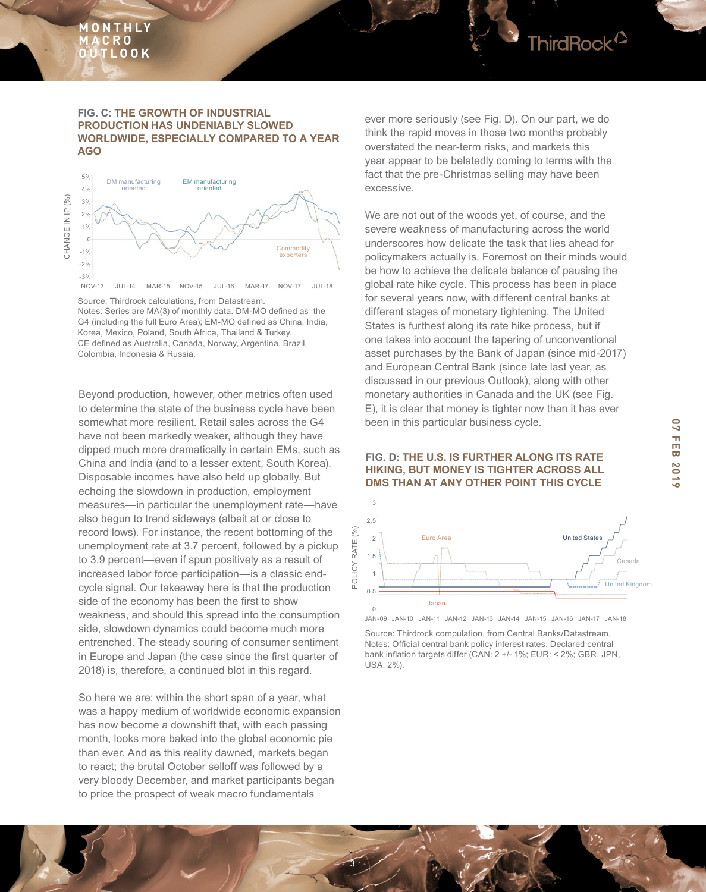#### **FIG. C: THE GROWTH OF INDUSTRIAL PRODUCTION HAS UNDENIABLY SLOWED WORLDWIDE, ESPECIALLY COMPARED TO A YEAR AGO**



Source: Thirdrock calculations, from Datastream. Notes: Series are MA(3) of monthly data. DM-MO defned as the G4 (including the full Euro Area); EM-MO defned as China, India, Korea, Mexico, Poland, South Africa, Thailand & Turkey. CE defned as Australia, Canada, Norway, Argentina, Brazil, Colombia, Indonesia & Russia.

Beyond production, however, other metrics often used to determine the state of the business cycle have been somewhat more resilient. Retail sales across the G4 have not been markedly weaker, although they have dipped much more dramatically in certain EMs, such as China and India (and to a lesser extent, South Korea). Disposable incomes have also held up globally. But echoing the slowdown in production, employment measures—in particular the unemployment rate—have also begun to trend sideways (albeit at or close to record lows). For instance, the recent bottoming of the unemployment rate at 3.7 percent, followed by a pickup to 3.9 percent—even if spun positively as a result of increased labor force participation—is a classic endcycle signal. Our takeaway here is that the production side of the economy has been the first to show weakness, and should this spread into the consumption side, slowdown dynamics could become much more entrenched. The steady souring of consumer sentiment in Europe and Japan (the case since the first quarter of 2018) is, therefore, a continued blot in this regard.

So here we are: within the short span of a year, what was a happy medium of worldwide economic expansion has now become a downshift that, with each passing month, looks more baked into the global economic pie than ever. And as this reality dawned, markets began to react; the brutal October selloff was followed by a very bloody December, and market participants began to price the prospect of weak macro fundamentals

ever more seriously (see Fig. D). On our part, we do think the rapid moves in those two months probably overstated the near-term risks, and markets this year appear to be belatedly coming to terms with the fact that the pre-Christmas selling may have been excessive.

We are not out of the woods yet, of course, and the severe weakness of manufacturing across the world underscores how delicate the task that lies ahead for policymakers actually is. Foremost on their minds would be how to achieve the delicate balance of pausing the global rate hike cycle. This process has been in place for several years now, with different central banks at different stages of monetary tightening. The United States is furthest along its rate hike process, but if one takes into account the tapering of unconventional asset purchases by the Bank of Japan (since mid-2017) and European Central Bank (since late last year, as discussed in our previous Outlook), along with other monetary authorities in Canada and the UK (see Fig. E), it is clear that money is tighter now than it has ever been in this particular business cycle.

#### **FIG. D: THE U.S. IS FURTHER ALONG ITS RATE HIKING, BUT MONEY IS TIGHTER ACROSS ALL DMS THAN AT ANY OTHER POINT THIS CYCLE**



JAN-09 JAN-10 JAN-11 JAN-12 JAN-13 JAN-14 JAN-15 JAN-16 JAN-17 JAN-18

Source: Thirdrock compulation, from Central Banks/Datastream. Notes: Official central bank policy interest rates. Declared central bank infation targets differ (CAN: 2 +/- 1%; EUR: < 2%; GBR, JPN, USA: 2%).

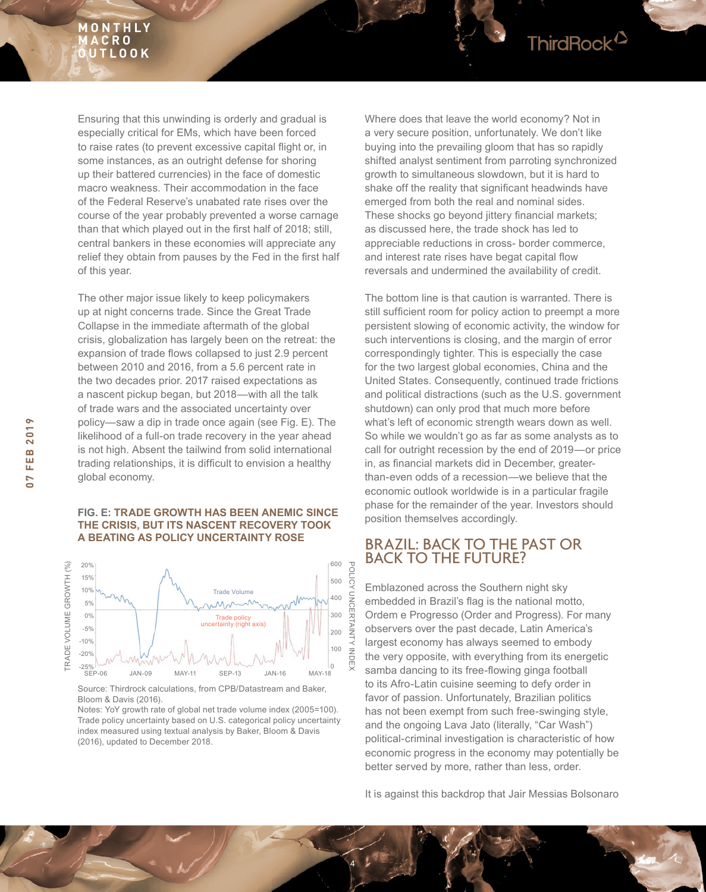Ensuring that this unwinding is orderly and gradual is especially critical for EMs, which have been forced to raise rates (to prevent excessive capital fight or, in some instances, as an outright defense for shoring up their battered currencies) in the face of domestic macro weakness. Their accommodation in the face of the Federal Reserve's unabated rate rises over the course of the year probably prevented a worse carnage than that which played out in the frst half of 2018; still, central bankers in these economies will appreciate any relief they obtain from pauses by the Fed in the first half of this year.

The other major issue likely to keep policymakers up at night concerns trade. Since the Great Trade Collapse in the immediate aftermath of the global crisis, globalization has largely been on the retreat: the expansion of trade flows collapsed to just 2.9 percent between 2010 and 2016, from a 5.6 percent rate in the two decades prior. 2017 raised expectations as a nascent pickup began, but 2018—with all the talk of trade wars and the associated uncertainty over policy—saw a dip in trade once again (see Fig. E). The likelihood of a full-on trade recovery in the year ahead is not high. Absent the tailwind from solid international trading relationships, it is diffcult to envision a healthy global economy.

#### FIG. E: TRADE GROWTH HAS BEEN ANEMIC SINCE<br>
FILE ARIAL BUT TO MAGEILE REQUIRING TO ALL position themselves accordingly. **THE CRISIS, BUT ITS NASCENT RECOVERY TOOK A BEATING AS POLICY UNCERTAINTY ROSE**



Source: Thirdrock calculations, from CPB/Datastream and Baker, Bloom & Davis (2016).

Notes: YoY growth rate of global net trade volume index (2005=100). Trade policy uncertainty based on U.S. categorical policy uncertainty index measured using textual analysis by Baker, Bloom & Davis (2016), updated to December 2018.

Where does that leave the world economy? Not in a very secure position, unfortunately. We don't like buying into the prevailing gloom that has so rapidly shifted analyst sentiment from parroting synchronized growth to simultaneous slowdown, but it is hard to shake off the reality that significant headwinds have emerged from both the real and nominal sides. These shocks go beyond jittery financial markets; as discussed here, the trade shock has led to appreciable reductions in cross- border commerce, and interest rate rises have begat capital flow reversals and undermined the availability of credit.

ThirdRock<sup>12</sup>

The bottom line is that caution is warranted. There is still sufficient room for policy action to preempt a more persistent slowing of economic activity, the window for such interventions is closing, and the margin of error correspondingly tighter. This is especially the case for the two largest global economies, China and the United States. Consequently, continued trade frictions and political distractions (such as the U.S. government shutdown) can only prod that much more before what's left of economic strength wears down as well. So while we wouldn't go as far as some analysts as to call for outright recession by the end of 2019—or price in, as fnancial markets did in December, greaterthan-even odds of a recession—we believe that the economic outlook worldwide is in a particular fragile phase for the remainder of the year. Investors should

# BRAZIL: BACK TO THE PAST OR BACK TO THE FUTURE?

Emblazoned across the Southern night sky embedded in Brazil's fag is the national motto, Ordem e Progresso (Order and Progress). For many observers over the past decade, Latin America's largest economy has always seemed to embody the very opposite, with everything from its energetic samba dancing to its free-fowing ginga football to its Afro-Latin cuisine seeming to defy order in favor of passion. Unfortunately, Brazilian politics has not been exempt from such free-swinging style, and the ongoing Lava Jato (literally, "Car Wash") political-criminal investigation is characteristic of how economic progress in the economy may potentially be better served by more, rather than less, order.

It is against this backdrop that Jair Messias Bolsonaro

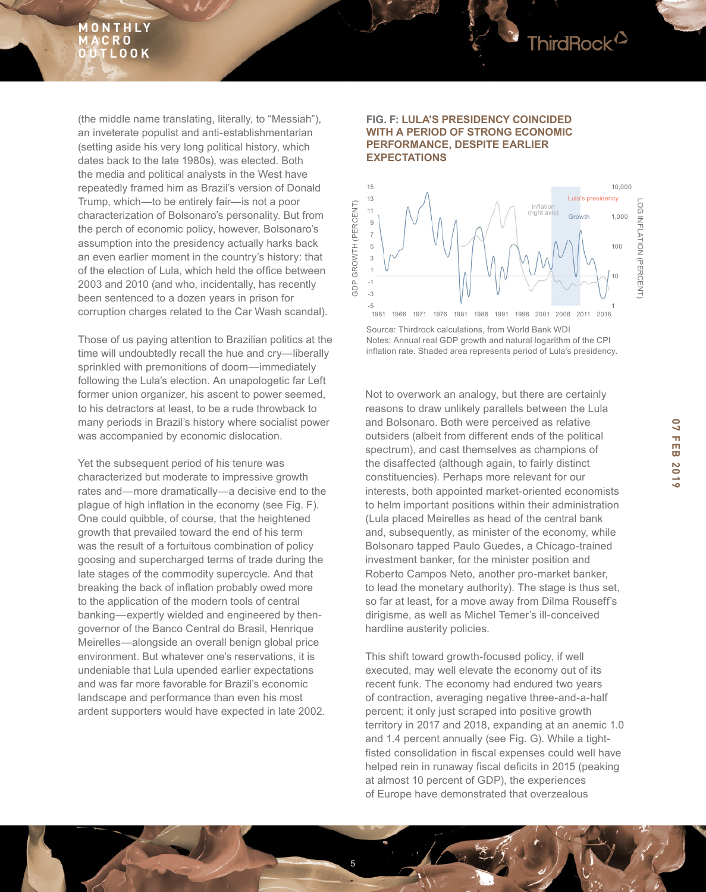

(the middle name translating, literally, to "Messiah"), an inveterate populist and anti-establishmentarian (setting aside his very long political history, which dates back to the late 1980s), was elected. Both the media and political analysts in the West have repeatedly framed him as Brazil's version of Donald Trump, which—to be entirely fair—is not a poor characterization of Bolsonaro's personality. But from the perch of economic policy, however, Bolsonaro's assumption into the presidency actually harks back an even earlier moment in the country's history: that of the election of Lula, which held the office between 2003 and 2010 (and who, incidentally, has recently been sentenced to a dozen years in prison for corruption charges related to the Car Wash scandal).

Those of us paying attention to Brazilian politics at the time will undoubtedly recall the hue and cry—liberally sprinkled with premonitions of doom—immediately following the Lula's election. An unapologetic far Left former union organizer, his ascent to power seemed, to his detractors at least, to be a rude throwback to many periods in Brazil's history where socialist power was accompanied by economic dislocation.

Yet the subsequent period of his tenure was characterized but moderate to impressive growth rates and—more dramatically—a decisive end to the plague of high infation in the economy (see Fig. F). One could quibble, of course, that the heightened growth that prevailed toward the end of his term was the result of a fortuitous combination of policy goosing and supercharged terms of trade during the late stages of the commodity supercycle. And that breaking the back of infation probably owed more to the application of the modern tools of central banking—expertly wielded and engineered by thengovernor of the Banco Central do Brasil, Henrique Meirelles—alongside an overall benign global price environment. But whatever one's reservations, it is undeniable that Lula upended earlier expectations and was far more favorable for Brazil's economic landscape and performance than even his most ardent supporters would have expected in late 2002.

#### **FIG. F: LULA'S PRESIDENCY COINCIDED WITH A PERIOD OF STRONG ECONOMIC PERFORMANCE, DESPITE EARLIER EXPECTATIONS**



Source: Thirdrock calculations, from World Bank WDI Notes: Annual real GDP growth and natural logarithm of the CPI infation rate. Shaded area represents period of Lula's presidency.

Not to overwork an analogy, but there are certainly reasons to draw unlikely parallels between the Lula and Bolsonaro. Both were perceived as relative outsiders (albeit from different ends of the political spectrum), and cast themselves as champions of the disaffected (although again, to fairly distinct constituencies). Perhaps more relevant for our interests, both appointed market-oriented economists to helm important positions within their administration (Lula placed Meirelles as head of the central bank and, subsequently, as minister of the economy, while Bolsonaro tapped Paulo Guedes, a Chicago-trained investment banker, for the minister position and Roberto Campos Neto, another pro-market banker, to lead the monetary authority). The stage is thus set, so far at least, for a move away from Dilma Rouseff's dirigisme, as well as Michel Temer's ill-conceived hardline austerity policies.

This shift toward growth-focused policy, if well executed, may well elevate the economy out of its recent funk. The economy had endured two years of contraction, averaging negative three-and-a-half percent; it only just scraped into positive growth territory in 2017 and 2018, expanding at an anemic 1.0 and 1.4 percent annually (see Fig. G). While a tightfisted consolidation in fiscal expenses could well have helped rein in runaway fiscal deficits in 2015 (peaking at almost 10 percent of GDP), the experiences of Europe have demonstrated that overzealous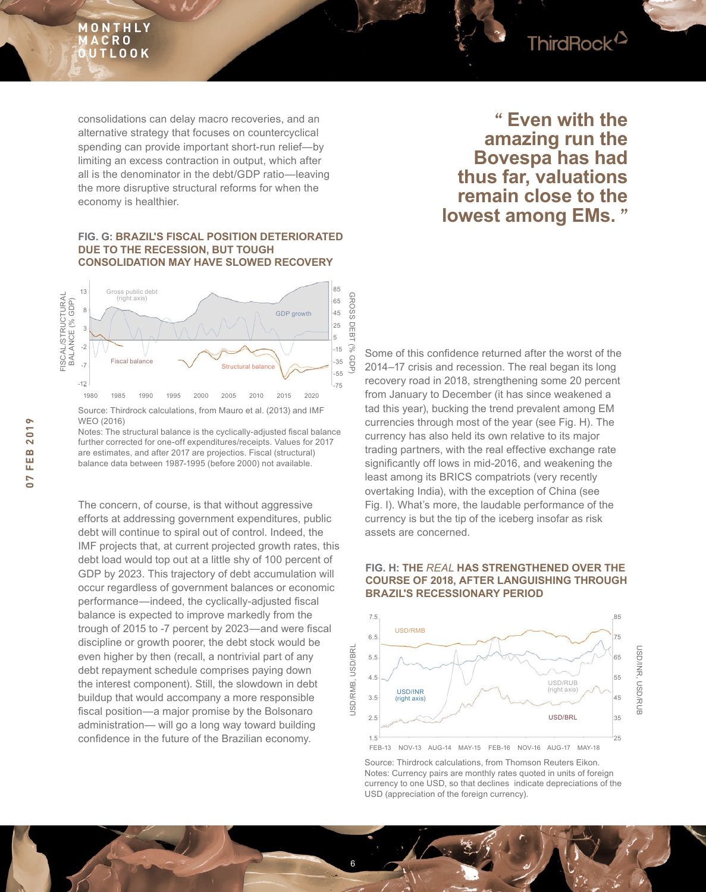

consolidations can delay macro recoveries, and an alternative strategy that focuses on countercyclical spending can provide important short-run relief—by limiting an excess contraction in output, which after all is the denominator in the debt/GDP ratio—leaving the more disruptive structural reforms for when the economy is healthier.

#### **FIG. G: BRAZIL'S FISCAL POSITION DETERIORATED DUE TO THE RECESSION, BUT TOUGH CONSOLIDATION MAY HAVE SLOWED RECOVERY**



Source: Thirdrock calculations, from Mauro et al. (2013) and IMF WEO (2016)

Notes: The structural balance is the cyclically-adjusted fscal balance further corrected for one-off expenditures/receipts. Values for 2017 are estimates, and after 2017 are projectios. Fiscal (structural) balance data between 1987-1995 (before 2000) not available.

The concern, of course, is that without aggressive efforts at addressing government expenditures, public debt will continue to spiral out of control. Indeed, the IMF projects that, at current projected growth rates, this debt load would top out at a little shy of 100 percent of GDP by 2023. This trajectory of debt accumulation will occur regardless of government balances or economic performance—indeed, the cyclically-adjusted fiscal balance is expected to improve markedly from the trough of 2015 to -7 percent by 2023—and were fscal discipline or growth poorer, the debt stock would be even higher by then (recall, a nontrivial part of any debt repayment schedule comprises paying down the interest component). Still, the slowdown in debt buildup that would accompany a more responsible fscal position—a major promise by the Bolsonaro administration— will go a long way toward building confdence in the future of the Brazilian economy.

# **" Even with the amazing run the Bovespa has had thus far, valuations remain close to the lowest among EMs. "**

Some of this confdence returned after the worst of the 2014–17 crisis and recession. The real began its long recovery road in 2018, strengthening some 20 percent from January to December (it has since weakened a tad this year), bucking the trend prevalent among EM currencies through most of the year (see Fig. H). The currency has also held its own relative to its major trading partners, with the real effective exchange rate signifcantly off lows in mid-2016, and weakening the least among its BRICS compatriots (very recently overtaking India), with the exception of China (see Fig. I). What's more, the laudable performance of the currency is but the tip of the iceberg insofar as risk assets are concerned.





Source: Thirdrock calculations, from Thomson Reuters Eikon. Notes: Currency pairs are monthly rates quoted in units of foreign currency to one USD, so that declines indicate depreciations of the USD (appreciation of the foreign currency).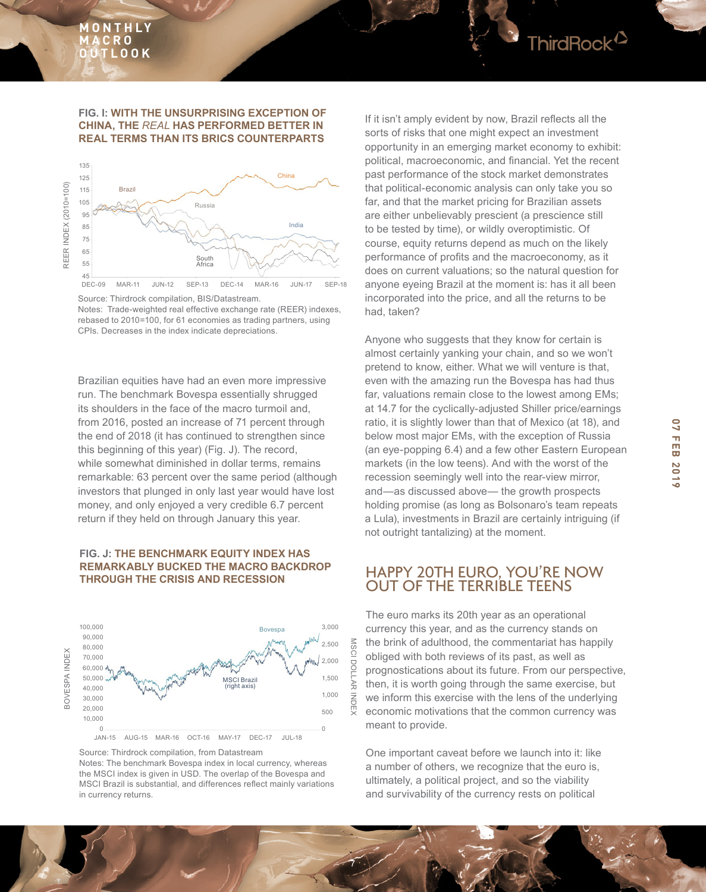#### **FIG. I: WITH THE UNSURPRISING EXCEPTION OF CHINA, THE** *REAL* **HAS PERFORMED BETTER IN REAL TERMS THAN ITS BRICS COUNTERPARTS**



Notes: Trade-weighted real effective exchange rate (REER) indexes, rebased to 2010=100, for 61 economies as trading partners, using CPIs. Decreases in the index indicate depreciations.

Brazilian equities have had an even more impressive run. The benchmark Bovespa essentially shrugged its shoulders in the face of the macro turmoil and, from 2016, posted an increase of 71 percent through the end of 2018 (it has continued to strengthen since this beginning of this year) (Fig. J). The record, while somewhat diminished in dollar terms, remains remarkable: 63 percent over the same period (although investors that plunged in only last year would have lost money, and only enjoyed a very credible 6.7 percent return if they held on through January this year.

### **FIG. J: THE BENCHMARK EQUITY INDEX HAS REMARKABLY BUCKED THE MACRO BACKDROP THROUGH THE CRISIS AND RECESSION**



Source: Thirdrock compilation, from Datastream

Notes: The benchmark Bovespa index in local currency, whereas the MSCI index is given in USD. The overlap of the Bovespa and MSCI Brazil is substantial, and differences refect mainly variations in currency returns.

If it isn't amply evident by now, Brazil refects all the sorts of risks that one might expect an investment opportunity in an emerging market economy to exhibit: political, macroeconomic, and fnancial. Yet the recent past performance of the stock market demonstrates that political-economic analysis can only take you so far, and that the market pricing for Brazilian assets are either unbelievably prescient (a prescience still to be tested by time), or wildly overoptimistic. Of course, equity returns depend as much on the likely performance of profits and the macroeconomy, as it does on current valuations; so the natural question for anyone eyeing Brazil at the moment is: has it all been incorporated into the price, and all the returns to be had, taken?

Anyone who suggests that they know for certain is almost certainly yanking your chain, and so we won't pretend to know, either. What we will venture is that, even with the amazing run the Bovespa has had thus far, valuations remain close to the lowest among EMs; at 14.7 for the cyclically-adjusted Shiller price/earnings ratio, it is slightly lower than that of Mexico (at 18), and below most major EMs, with the exception of Russia (an eye-popping 6.4) and a few other Eastern European markets (in the low teens). And with the worst of the recession seemingly well into the rear-view mirror, and—as discussed above— the growth prospects holding promise (as long as Bolsonaro's team repeats a Lula), investments in Brazil are certainly intriguing (if not outright tantalizing) at the moment.

## HAPPY 20TH EURO, YOU'RE NOW OUT OF THE TERRIBLE TEENS

The euro marks its 20th year as an operational currency this year, and as the currency stands on the brink of adulthood, the commentariat has happily obliged with both reviews of its past, as well as prognostications about its future. From our perspective, then, it is worth going through the same exercise, but we inform this exercise with the lens of the underlying economic motivations that the common currency was meant to provide.

One important caveat before we launch into it: like a number of others, we recognize that the euro is, ultimately, a political project, and so the viability and survivability of the currency rests on political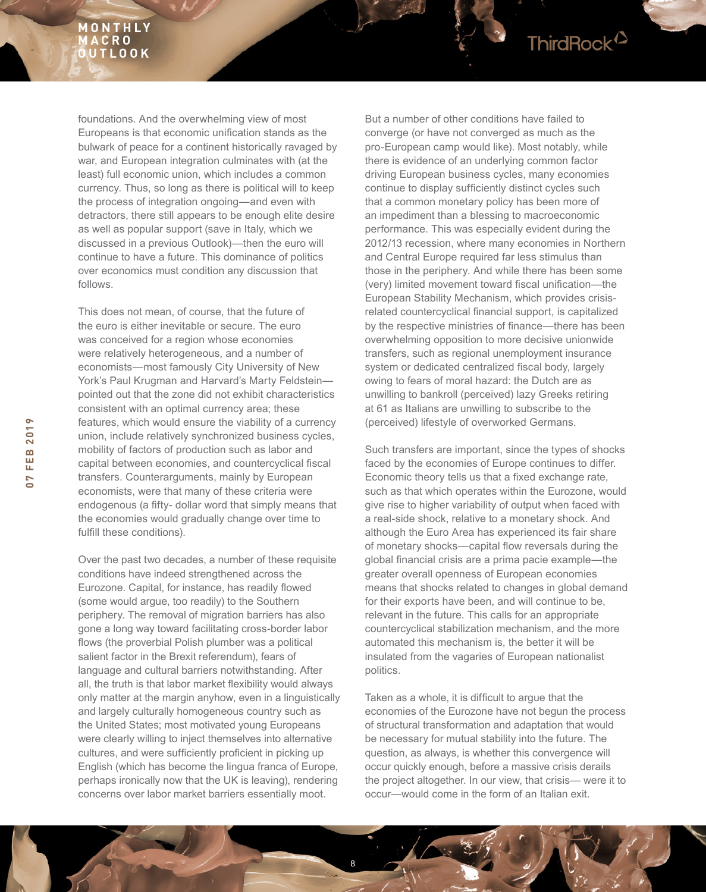

foundations. And the overwhelming view of most Europeans is that economic unifcation stands as the bulwark of peace for a continent historically ravaged by war, and European integration culminates with (at the least) full economic union, which includes a common currency. Thus, so long as there is political will to keep the process of integration ongoing—and even with detractors, there still appears to be enough elite desire as well as popular support (save in Italy, which we discussed in a previous Outlook)—then the euro will continue to have a future. This dominance of politics over economics must condition any discussion that follows.

This does not mean, of course, that the future of the euro is either inevitable or secure. The euro was conceived for a region whose economies were relatively heterogeneous, and a number of economists—most famously City University of New York's Paul Krugman and Harvard's Marty Feldstein pointed out that the zone did not exhibit characteristics consistent with an optimal currency area; these features, which would ensure the viability of a currency union, include relatively synchronized business cycles, mobility of factors of production such as labor and capital between economies, and countercyclical fiscal transfers. Counterarguments, mainly by European economists, were that many of these criteria were endogenous (a ffty- dollar word that simply means that the economies would gradually change over time to fulfill these conditions).

Over the past two decades, a number of these requisite conditions have indeed strengthened across the Eurozone. Capital, for instance, has readily flowed (some would argue, too readily) to the Southern periphery. The removal of migration barriers has also gone a long way toward facilitating cross-border labor flows (the proverbial Polish plumber was a political salient factor in the Brexit referendum), fears of language and cultural barriers notwithstanding. After all, the truth is that labor market fexibility would always only matter at the margin anyhow, even in a linguistically and largely culturally homogeneous country such as the United States; most motivated young Europeans were clearly willing to inject themselves into alternative cultures, and were sufficiently proficient in picking up English (which has become the lingua franca of Europe, perhaps ironically now that the UK is leaving), rendering concerns over labor market barriers essentially moot.

But a number of other conditions have failed to converge (or have not converged as much as the pro-European camp would like). Most notably, while there is evidence of an underlying common factor driving European business cycles, many economies continue to display sufficiently distinct cycles such that a common monetary policy has been more of an impediment than a blessing to macroeconomic performance. This was especially evident during the 2012/13 recession, where many economies in Northern and Central Europe required far less stimulus than those in the periphery. And while there has been some (very) limited movement toward fscal unifcation—the European Stability Mechanism, which provides crisisrelated countercyclical fnancial support, is capitalized by the respective ministries of finance—there has been overwhelming opposition to more decisive unionwide transfers, such as regional unemployment insurance system or dedicated centralized fiscal body, largely owing to fears of moral hazard: the Dutch are as unwilling to bankroll (perceived) lazy Greeks retiring at 61 as Italians are unwilling to subscribe to the (perceived) lifestyle of overworked Germans.

Such transfers are important, since the types of shocks faced by the economies of Europe continues to differ. Economic theory tells us that a fixed exchange rate, such as that which operates within the Eurozone, would give rise to higher variability of output when faced with a real-side shock, relative to a monetary shock. And although the Euro Area has experienced its fair share of monetary shocks—capital flow reversals during the global fnancial crisis are a prima pacie example—the greater overall openness of European economies means that shocks related to changes in global demand for their exports have been, and will continue to be, relevant in the future. This calls for an appropriate countercyclical stabilization mechanism, and the more automated this mechanism is, the better it will be insulated from the vagaries of European nationalist politics.

Taken as a whole, it is difficult to argue that the economies of the Eurozone have not begun the process of structural transformation and adaptation that would be necessary for mutual stability into the future. The question, as always, is whether this convergence will occur quickly enough, before a massive crisis derails the project altogether. In our view, that crisis— were it to occur—would come in the form of an Italian exit.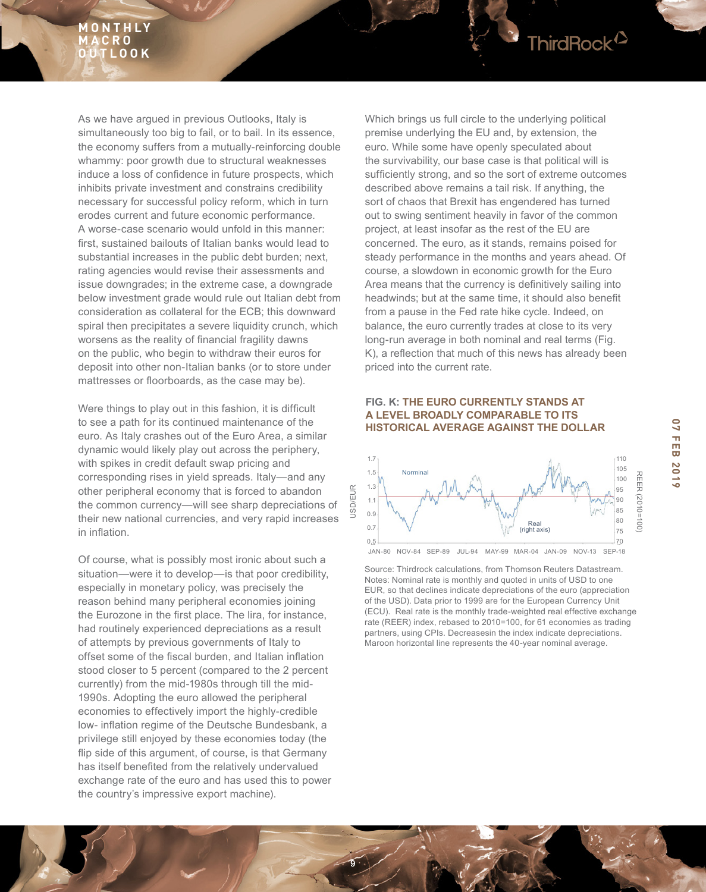

Were things to play out in this fashion, it is difficult to see a path for its continued maintenance of the euro. As Italy crashes out of the Euro Area, a similar dynamic would likely play out across the periphery, with spikes in credit default swap pricing and corresponding rises in yield spreads. Italy—and any other peripheral economy that is forced to abandon the common currency—will see sharp depreciations of their new national currencies, and very rapid increases in infation.

Of course, what is possibly most ironic about such a situation—were it to develop—is that poor credibility, especially in monetary policy, was precisely the reason behind many peripheral economies joining the Eurozone in the first place. The lira, for instance, had routinely experienced depreciations as a result of attempts by previous governments of Italy to offset some of the fiscal burden, and Italian inflation stood closer to 5 percent (compared to the 2 percent currently) from the mid-1980s through till the mid-1990s. Adopting the euro allowed the peripheral economies to effectively import the highly-credible low- infation regime of the Deutsche Bundesbank, a privilege still enjoyed by these economies today (the flip side of this argument, of course, is that Germany has itself benefted from the relatively undervalued exchange rate of the euro and has used this to power the country's impressive export machine).

Which brings us full circle to the underlying political premise underlying the EU and, by extension, the euro. While some have openly speculated about the survivability, our base case is that political will is sufficiently strong, and so the sort of extreme outcomes described above remains a tail risk. If anything, the sort of chaos that Brexit has engendered has turned out to swing sentiment heavily in favor of the common project, at least insofar as the rest of the EU are concerned. The euro, as it stands, remains poised for steady performance in the months and years ahead. Of course, a slowdown in economic growth for the Euro Area means that the currency is definitively sailing into headwinds; but at the same time, it should also benefit from a pause in the Fed rate hike cycle. Indeed, on balance, the euro currently trades at close to its very long-run average in both nominal and real terms (Fig. K), a refection that much of this news has already been priced into the current rate.

ThirdRock<sup>12</sup>

#### **FIG. K: THE EURO CURRENTLY STANDS AT A LEVEL BROADLY COMPARABLE TO ITS HISTORICAL AVERAGE AGAINST THE DOLLAR**



Source: Thirdrock calculations, from Thomson Reuters Datastream. Notes: Nominal rate is monthly and quoted in units of USD to one EUR, so that declines indicate depreciations of the euro (appreciation of the USD). Data prior to 1999 are for the European Currency Unit (ECU). Real rate is the monthly trade-weighted real effective exchange rate (REER) index, rebased to 2010=100, for 61 economies as trading partners, using CPIs. Decreasesin the index indicate depreciations. Maroon horizontal line represents the 40-year nominal average.

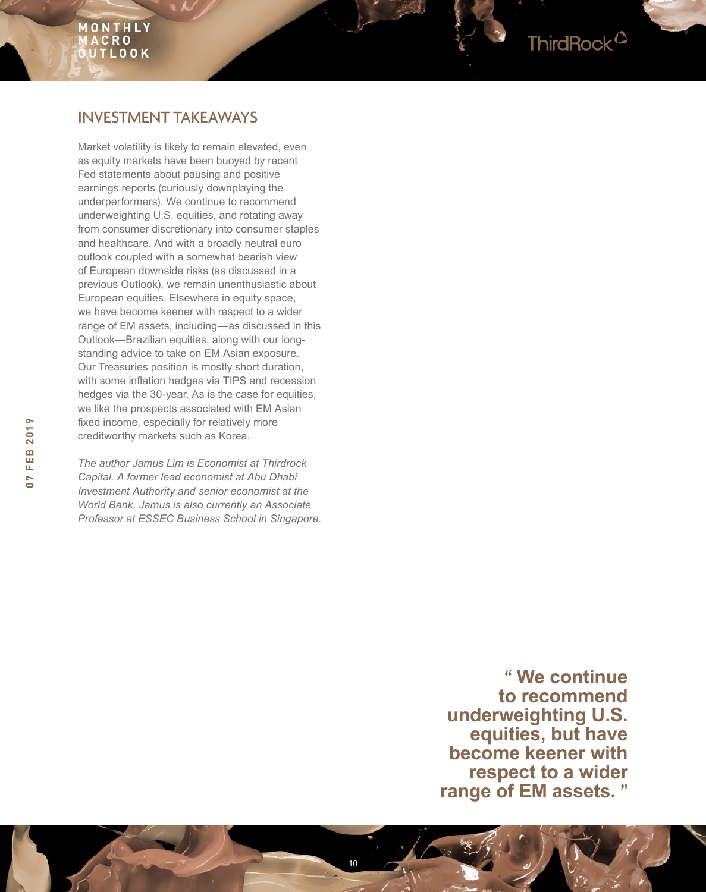# INVESTMENT TAKEAWAYS

Market volatility is likely to remain elevated, even as equity markets have been buoyed by recent Fed statements about pausing and positive earnings reports (curiously downplaying the underperformers). We continue to recommend underweighting U.S. equities, and rotating away from consumer discretionary into consumer staples and healthcare. And with a broadly neutral euro outlook coupled with a somewhat bearish view of European downside risks (as discussed in a previous Outlook), we remain unenthusiastic about European equities. Elsewhere in equity space, we have become keener with respect to a wider range of EM assets, including—as discussed in this Outlook—Brazilian equities, along with our longstanding advice to take on EM Asian exposure. Our Treasuries position is mostly short duration, with some infation hedges via TIPS and recession hedges via the 30-year. As is the case for equities, we like the prospects associated with EM Asian fxed income, especially for relatively more creditworthy markets such as Korea.

*The author Jamus Lim is Economist at Thirdrock Capital. A former lead economist at Abu Dhabi Investment Authority and senior economist at the World Bank, Jamus is also currently an Associate Professor at ESSEC Business School in Singapore.*

> **" We continue to recommend underweighting U.S. equities, but have become keener with respect to a wider range of EM assets. "**